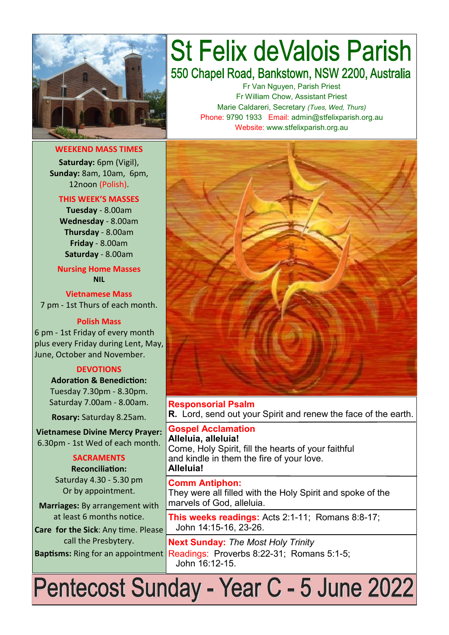

**WEEKEND MASS TIMES Saturday:** 6pm (Vigil), **Sunday:** 8am, 10am, 6pm, 12noon (Polish).

#### **THIS WEEK'S MASSES Tuesday** - 8.00am **Wednesday** - 8.00am **Thursday** - 8.00am **Friday** - 8.00am **Saturday** - 8.00am

**Nursing Home Masses NIL**

**Vietnamese Mass** 7 pm - 1st Thurs of each month.

#### **Polish Mass**

6 pm - 1st Friday of every month plus every Friday during Lent, May, June, October and November.

#### **DEVOTIONS**

**Adoration & Benediction:**  Tuesday 7.30pm - 8.30pm. Saturday 7.00am - 8.00am.

**Rosary:** Saturday 8.25am.

**Vietnamese Divine Mercy Prayer:** 6.30pm - 1st Wed of each month.

#### **SACRAMENTS**

**Reconciliation:**  Saturday 4.30 - 5.30 pm Or by appointment.

**Marriages:** By arrangement with at least 6 months notice. **Care for the Sick**: Any time. Please

call the Presbytery.

## **St Felix deValois Parish** 550 Chapel Road, Bankstown, NSW 2200, Australia

Fr Van Nguyen, Parish Priest Fr William Chow, Assistant Priest Marie Caldareri, Secretary *(Tues, Wed, Thurs)* Phone: 9790 1933 Email: admin@stfelixparish.org.au Website: www.stfelixparish.org.au



**Responsorial Psalm R.** Lord, send out your Spirit and renew the face of the earth.

**Gospel Acclamation Alleluia, alleluia!** Come, Holy Spirit, fill the hearts of your faithful and kindle in them the fire of your love. **Alleluia!**

**Comm Antiphon:**  They were all filled with the Holy Spirit and spoke of the marvels of God, alleluia.

**This weeks readings:** Acts 2:1-11; Romans 8:8-17; John 14:15-16, 23-26.

**Next Sunday:** *The Most Holy Trinity*  Baptisms: Ring for an appointment Readings: Proverbs 8:22-31; Romans 5:1-5; John 16:12-15.

# Pentecost Sunday - Year C - 5 June 2022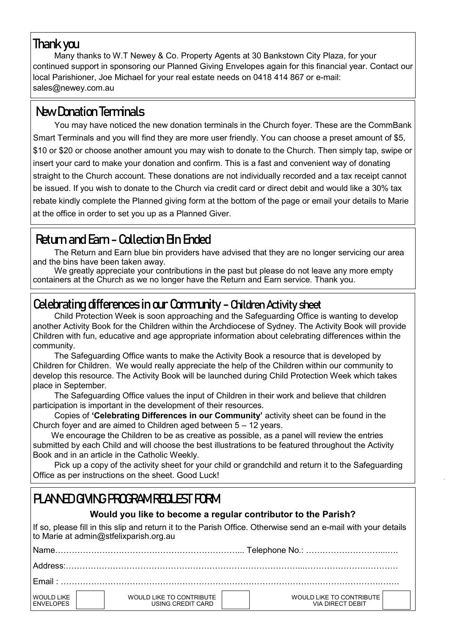#### **Thank you**

Many thanks to W.T Newey & Co. Property Agents at 30 Bankstown City Plaza, for your continued support in sponsoring our Planned Giving Envelopes again for this financial year. Contact our local Parishioner, Joe Michael for your real estate needs on 0418 414 867 or e-mail: sales@newey.com.au

## **New Donation Terminals**

You may have noticed the new donation terminals in the Church foyer. These are the CommBank Smart Terminals and you will find they are more user friendly. You can choose a preset amount of \$5, \$10 or \$20 or choose another amount you may wish to donate to the Church. Then simply tap, swipe or insert your card to make your donation and confirm. This is a fast and convenient way of donating straight to the Church account. These donations are not individually recorded and a tax receipt cannot be issued. If you wish to donate to the Church via credit card or direct debit and would like a 30% tax rebate kindly complete the Planned giving form at the bottom of the page or email your details to Marie at the office in order to set you up as a Planned Giver.

## **Return and Earn - Collection Bin Ended**

The Return and Earn blue bin providers have advised that they are no longer servicing our area and the bins have been taken away.

We greatly appreciate your contributions in the past but please do not leave any more empty containers at the Church as we no longer have the Return and Earn service. Thank you.

## **Celebrating differences in our Community - Children Activity sheet**

Child Protection Week is soon approaching and the Safeguarding Office is wanting to develop another Activity Book for the Children within the Archdiocese of Sydney. The Activity Book will provide Children with fun, educative and age appropriate information about celebrating differences within the community.

The Safeguarding Office wants to make the Activity Book a resource that is developed by Children for Children. We would really appreciate the help of the Children within our community to develop this resource. The Activity Book will be launched during Child Protection Week which takes place in September.

The Safeguarding Office values the input of Children in their work and believe that children participation is important in the development of their resources.

Copies of **'Celebrating Differences in our Community'** activity sheet can be found in the Church foyer and are aimed to Children aged between 5 – 12 years.

 We encourage the Children to be as creative as possible, as a panel will review the entries submitted by each Child and will choose the best illustrations to be featured throughout the Activity Book and in an article in the Catholic Weekly.

Pick up a copy of the activity sheet for your child or grandchild and return it to the Safeguarding Office as per instructions on the sheet. Good Luck!

## **PLANNED GIVING PROGRAM REQUEST FORM**

#### **Would you like to become a regular contributor to the Parish?**

If so, please fill in this slip and return it to the Parish Office. Otherwise send an e-mail with your details to Marie at admin@stfelixparish.org.au

| <b>Name</b>                           |  |                                               |  |                                              |  |  |  |  |  |  |  |  |
|---------------------------------------|--|-----------------------------------------------|--|----------------------------------------------|--|--|--|--|--|--|--|--|
|                                       |  |                                               |  |                                              |  |  |  |  |  |  |  |  |
| $F$ mail $\cdot$                      |  |                                               |  |                                              |  |  |  |  |  |  |  |  |
| <b>WOULD LIKE</b><br><b>FNVELOPES</b> |  | WOULD LIKE TO CONTRIBUTE<br>USING CREDIT CARD |  | WOULD LIKE TO CONTRIBUTE<br>VIA DIRECT DEBIT |  |  |  |  |  |  |  |  |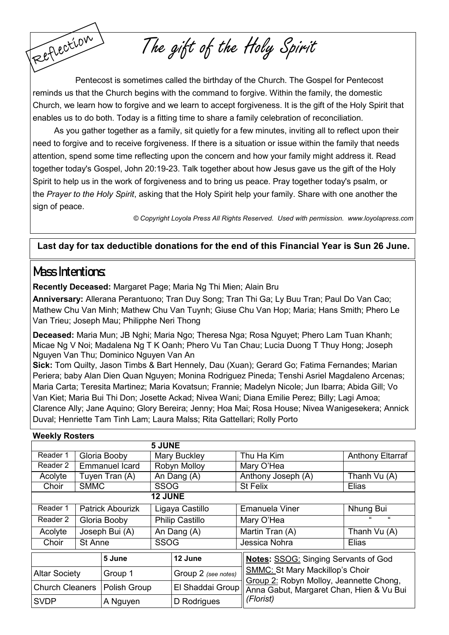Reflection Pentecost is sometimes called the birthday of the Church. The Gospel for Pentecost reminds us that the Church begins with the command to forgive. Within the family, the domestic Church, we learn how to forgive and we learn to accept forgiveness. It is the gift of the Holy Spirit that enables us to do both. Today is a fitting time to share a family celebration of reconciliation.

The gift of the Holy Spirit

As you gather together as a family, sit quietly for a few minutes, inviting all to reflect upon their need to forgive and to receive forgiveness. If there is a situation or issue within the family that needs attention, spend some time reflecting upon the concern and how your family might address it. Read together today's Gospel, John 20:19-23. Talk together about how Jesus gave us the gift of the Holy Spirit to help us in the work of forgiveness and to bring us peace. Pray together today's psalm, or the *[Prayer to the Holy Spirit](https://www.loyolapress.com/our-catholic-faith/prayer/traditional-catholic-prayers/prayers-every-catholic-should-know/prayer-to-the-holy-spirit)*, asking that the Holy Spirit help your family. Share with one another the sign of peace.

*© Copyright Loyola Press All Rights Reserved. Used with permission. [www.loyolapress.com](http://www.loyolapress.com)*

#### **Last day for tax deductible donations for the end of this Financial Year is Sun 26 June.**

#### **Mass Intentions:**

**Recently Deceased:** Margaret Page; Maria Ng Thi Mien; Alain Bru

**Anniversary:** Allerana Perantuono; Tran Duy Song; Tran Thi Ga; Ly Buu Tran; Paul Do Van Cao; Mathew Chu Van Minh; Mathew Chu Van Tuynh; Giuse Chu Van Hop; Maria; Hans Smith; Phero Le Van Trieu; Joseph Mau; Philipphe Neri Thong

**Deceased:** Maria Mun; JB Nghi; Maria Ngo; Theresa Nga; Rosa Nguyet; Phero Lam Tuan Khanh; Micae Ng V Noi; Madalena Ng T K Oanh; Phero Vu Tan Chau; Lucia Duong T Thuy Hong; Joseph Nguyen Van Thu; Dominico Nguyen Van An

**Sick:** Tom Quilty, Jason Timbs & Bart Hennely, Dau (Xuan); Gerard Go; Fatima Fernandes; Marian Periera; baby Alan Dien Quan Nguyen; Monina Rodriguez Pineda; Tenshi Asriel Magdaleno Arcenas; Maria Carta; Teresita Martinez; Maria Kovatsun; Frannie; Madelyn Nicole; Jun Ibarra; Abida Gill; Vo Van Kiet; Maria Bui Thi Don; Josette Ackad; Nivea Wani; Diana Emilie Perez; Billy; Lagi Amoa; Clarence Ally; Jane Aquino; Glory Bereira; Jenny; Hoa Mai; Rosa House; Nivea Wanigesekera; Annick Duval; Henriette Tam Tinh Lam; Laura Malss; Rita Gattellari; Rolly Porto

| <b>Weekly Rosters</b>  |                |                         |                        |                     |  |                                                                                   |                         |  |  |  |  |
|------------------------|----------------|-------------------------|------------------------|---------------------|--|-----------------------------------------------------------------------------------|-------------------------|--|--|--|--|
|                        |                |                         | <b>5 JUNE</b>          |                     |  |                                                                                   |                         |  |  |  |  |
| Reader 1               |                | Gloria Booby            | <b>Mary Buckley</b>    |                     |  | Thu Ha Kim                                                                        | <b>Anthony Eltarraf</b> |  |  |  |  |
| Reader 2               |                | <b>Emmanuel Icard</b>   | Robyn Molloy           |                     |  | Mary O'Hea                                                                        |                         |  |  |  |  |
| Acolyte                |                | Tuyen Tran (A)          | An Dang (A)            |                     |  | Anthony Joseph (A)                                                                | Thanh Vu (A)            |  |  |  |  |
| Choir                  | <b>SMMC</b>    |                         | <b>SSOG</b>            |                     |  | <b>St Felix</b>                                                                   | Elias                   |  |  |  |  |
| 12 JUNE                |                |                         |                        |                     |  |                                                                                   |                         |  |  |  |  |
| Reader 1               |                | <b>Patrick Abourizk</b> | Ligaya Castillo        |                     |  | <b>Emanuela Viner</b>                                                             | Nhung Bui               |  |  |  |  |
| Reader 2               |                | Gloria Booby            | <b>Philip Castillo</b> |                     |  | Mary O'Hea                                                                        | $\epsilon$              |  |  |  |  |
| Acolyte                | Joseph Bui (A) |                         | An Dang (A)            |                     |  | Martin Tran (A)                                                                   | Thanh Vu (A)            |  |  |  |  |
| Choir                  | St Anne        |                         | <b>SSOG</b>            |                     |  | Jessica Nohra                                                                     | Elias                   |  |  |  |  |
|                        |                | 5 June                  |                        | 12 June             |  | <b>Notes: SSOG: Singing Servants of God</b>                                       |                         |  |  |  |  |
| <b>Altar Society</b>   |                | Group 1                 |                        | Group 2 (see notes) |  | <b>SMMC: St Mary Mackillop's Choir</b><br>Group 2: Robyn Molloy, Jeannette Chong, |                         |  |  |  |  |
| <b>Church Cleaners</b> |                | Polish Group            |                        | El Shaddai Group    |  | Anna Gabut, Margaret Chan, Hien & Vu Bui                                          |                         |  |  |  |  |
| <b>SVDP</b>            |                | A Nguyen                |                        | D Rodrigues         |  | (Florist)                                                                         |                         |  |  |  |  |